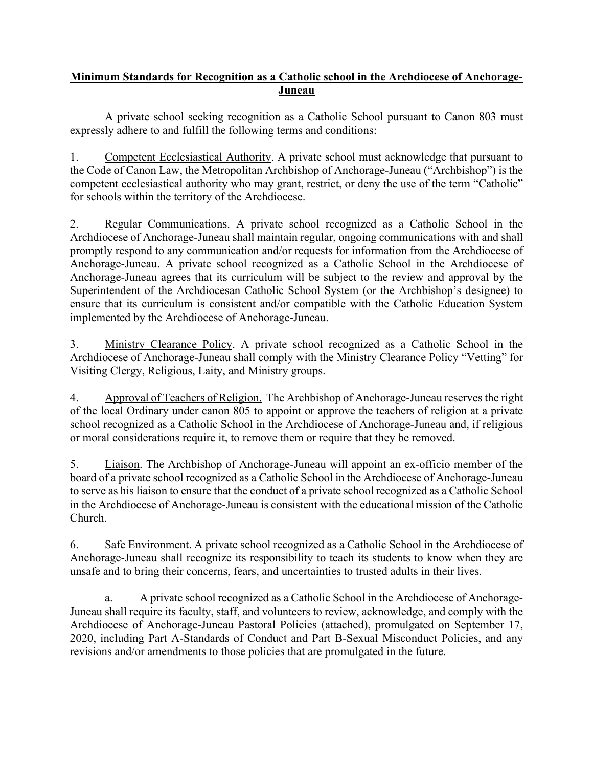## **Minimum Standards for Recognition as a Catholic school in the Archdiocese of Anchorage-Juneau**

A private school seeking recognition as a Catholic School pursuant to Canon 803 must expressly adhere to and fulfill the following terms and conditions:

1. Competent Ecclesiastical Authority. A private school must acknowledge that pursuant to the Code of Canon Law, the Metropolitan Archbishop of Anchorage-Juneau ("Archbishop") is the competent ecclesiastical authority who may grant, restrict, or deny the use of the term "Catholic" for schools within the territory of the Archdiocese.

2. Regular Communications. A private school recognized as a Catholic School in the Archdiocese of Anchorage-Juneau shall maintain regular, ongoing communications with and shall promptly respond to any communication and/or requests for information from the Archdiocese of Anchorage-Juneau. A private school recognized as a Catholic School in the Archdiocese of Anchorage-Juneau agrees that its curriculum will be subject to the review and approval by the Superintendent of the Archdiocesan Catholic School System (or the Archbishop's designee) to ensure that its curriculum is consistent and/or compatible with the Catholic Education System implemented by the Archdiocese of Anchorage-Juneau.

3. Ministry Clearance Policy. A private school recognized as a Catholic School in the Archdiocese of Anchorage-Juneau shall comply with the Ministry Clearance Policy "Vetting" for Visiting Clergy, Religious, Laity, and Ministry groups.

4. Approval of Teachers of Religion. The Archbishop of Anchorage-Juneau reservesthe right of the local Ordinary under canon 805 to appoint or approve the teachers of religion at a private school recognized as a Catholic School in the Archdiocese of Anchorage-Juneau and, if religious or moral considerations require it, to remove them or require that they be removed.

5. Liaison. The Archbishop of Anchorage-Juneau will appoint an ex-officio member of the board of a private school recognized as a Catholic School in the Archdiocese of Anchorage-Juneau to serve as his liaison to ensure that the conduct of a private school recognized as a Catholic School in the Archdiocese of Anchorage-Juneau is consistent with the educational mission of the Catholic Church.

6. Safe Environment. A private school recognized as a Catholic School in the Archdiocese of Anchorage-Juneau shall recognize its responsibility to teach its students to know when they are unsafe and to bring their concerns, fears, and uncertainties to trusted adults in their lives.

a. A private school recognized as a Catholic School in the Archdiocese of Anchorage-Juneau shall require its faculty, staff, and volunteers to review, acknowledge, and comply with the Archdiocese of Anchorage-Juneau Pastoral Policies (attached), promulgated on September 17, 2020, including Part A-Standards of Conduct and Part B-Sexual Misconduct Policies, and any revisions and/or amendments to those policies that are promulgated in the future.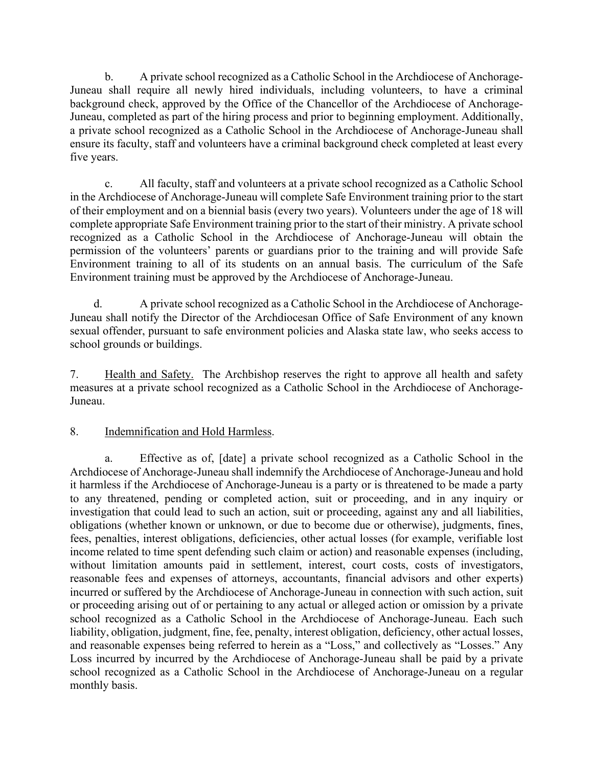b. A private school recognized as a Catholic School in the Archdiocese of Anchorage-Juneau shall require all newly hired individuals, including volunteers, to have a criminal background check, approved by the Office of the Chancellor of the Archdiocese of Anchorage-Juneau, completed as part of the hiring process and prior to beginning employment. Additionally, a private school recognized as a Catholic School in the Archdiocese of Anchorage-Juneau shall ensure its faculty, staff and volunteers have a criminal background check completed at least every five years.

c. All faculty, staff and volunteers at a private school recognized as a Catholic School in the Archdiocese of Anchorage-Juneau will complete Safe Environment training prior to the start of their employment and on a biennial basis (every two years). Volunteers under the age of 18 will complete appropriate Safe Environment training prior to the start of their ministry. A private school recognized as a Catholic School in the Archdiocese of Anchorage-Juneau will obtain the permission of the volunteers' parents or guardians prior to the training and will provide Safe Environment training to all of its students on an annual basis. The curriculum of the Safe Environment training must be approved by the Archdiocese of Anchorage-Juneau.

d. A private school recognized as a Catholic School in the Archdiocese of Anchorage-Juneau shall notify the Director of the Archdiocesan Office of Safe Environment of any known sexual offender, pursuant to safe environment policies and Alaska state law, who seeks access to school grounds or buildings.

7. Health and Safety. The Archbishop reserves the right to approve all health and safety measures at a private school recognized as a Catholic School in the Archdiocese of Anchorage-Juneau.

## 8. Indemnification and Hold Harmless.

a. Effective as of, [date] a private school recognized as a Catholic School in the Archdiocese of Anchorage-Juneau shall indemnify the Archdiocese of Anchorage-Juneau and hold it harmless if the Archdiocese of Anchorage-Juneau is a party or is threatened to be made a party to any threatened, pending or completed action, suit or proceeding, and in any inquiry or investigation that could lead to such an action, suit or proceeding, against any and all liabilities, obligations (whether known or unknown, or due to become due or otherwise), judgments, fines, fees, penalties, interest obligations, deficiencies, other actual losses (for example, verifiable lost income related to time spent defending such claim or action) and reasonable expenses (including, without limitation amounts paid in settlement, interest, court costs, costs of investigators, reasonable fees and expenses of attorneys, accountants, financial advisors and other experts) incurred or suffered by the Archdiocese of Anchorage-Juneau in connection with such action, suit or proceeding arising out of or pertaining to any actual or alleged action or omission by a private school recognized as a Catholic School in the Archdiocese of Anchorage-Juneau. Each such liability, obligation, judgment, fine, fee, penalty, interest obligation, deficiency, other actual losses, and reasonable expenses being referred to herein as a "Loss," and collectively as "Losses." Any Loss incurred by incurred by the Archdiocese of Anchorage-Juneau shall be paid by a private school recognized as a Catholic School in the Archdiocese of Anchorage-Juneau on a regular monthly basis.